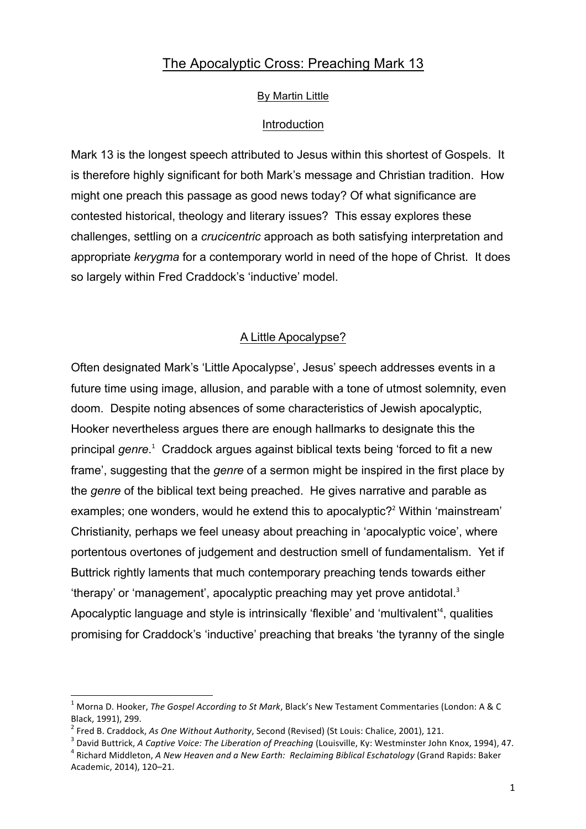# The Apocalyptic Cross: Preaching Mark 13

### By Martin Little

### Introduction

Mark 13 is the longest speech attributed to Jesus within this shortest of Gospels. It is therefore highly significant for both Mark's message and Christian tradition. How might one preach this passage as good news today? Of what significance are contested historical, theology and literary issues? This essay explores these challenges, settling on a *crucicentric* approach as both satisfying interpretation and appropriate *kerygma* for a contemporary world in need of the hope of Christ. It does so largely within Fred Craddock's 'inductive' model.

### A Little Apocalypse?

Often designated Mark's 'Little Apocalypse', Jesus' speech addresses events in a future time using image, allusion, and parable with a tone of utmost solemnity, even doom. Despite noting absences of some characteristics of Jewish apocalyptic, Hooker nevertheless argues there are enough hallmarks to designate this the principal *genre*. <sup>1</sup> Craddock argues against biblical texts being 'forced to fit a new frame', suggesting that the *genre* of a sermon might be inspired in the first place by the *genre* of the biblical text being preached. He gives narrative and parable as examples; one wonders, would he extend this to apocalyptic?<sup>2</sup> Within 'mainstream' Christianity, perhaps we feel uneasy about preaching in 'apocalyptic voice', where portentous overtones of judgement and destruction smell of fundamentalism. Yet if Buttrick rightly laments that much contemporary preaching tends towards either 'therapy' or 'management', apocalyptic preaching may yet prove antidotal. 3 Apocalyptic language and style is intrinsically 'flexible' and 'multivalent'<sup>4</sup>, qualities promising for Craddock's 'inductive' preaching that breaks 'the tyranny of the single

Morna D. Hooker, *The Gospel According to St Mark*, Black's New Testament Commentaries (London: A & C Black, 1991), 299.

<sup>&</sup>lt;sup>2</sup> Fred B. Craddock, As One Without Authority, Second (Revised) (St Louis: Chalice, 2001), 121.<br><sup>3</sup> David Buttrick, A *Captive Voice: The Liberation of Preaching* (Louisville, Ky: Westminster John Knox, 1994), 47.<br><sup>4</sup> Ri

Academic, 2014), 120-21.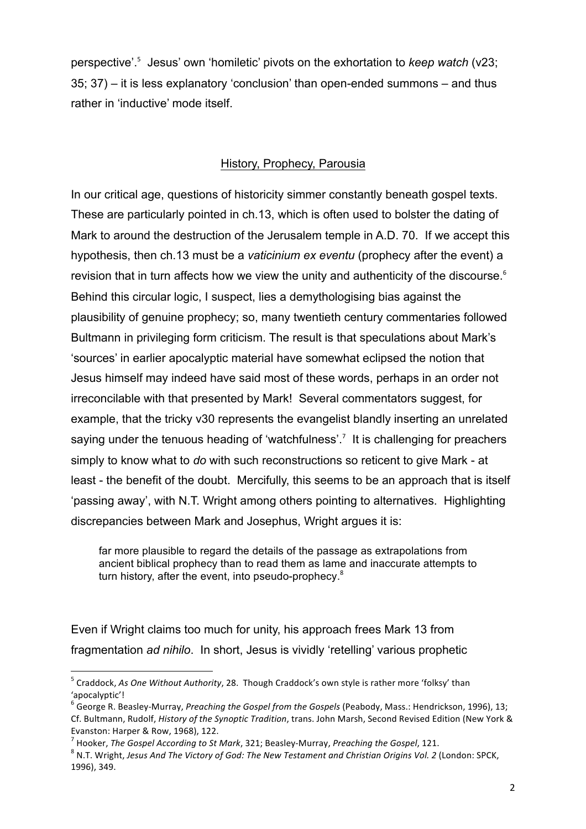perspective'. 5 Jesus' own 'homiletic' pivots on the exhortation to *keep watch* (v23; 35; 37) – it is less explanatory 'conclusion' than open-ended summons – and thus rather in 'inductive' mode itself.

### History, Prophecy, Parousia

In our critical age, questions of historicity simmer constantly beneath gospel texts. These are particularly pointed in ch.13, which is often used to bolster the dating of Mark to around the destruction of the Jerusalem temple in A.D. 70. If we accept this hypothesis, then ch.13 must be a *vaticinium ex eventu* (prophecy after the event) a revision that in turn affects how we view the unity and authenticity of the discourse. $6$ Behind this circular logic, I suspect, lies a demythologising bias against the plausibility of genuine prophecy; so, many twentieth century commentaries followed Bultmann in privileging form criticism. The result is that speculations about Mark's 'sources' in earlier apocalyptic material have somewhat eclipsed the notion that Jesus himself may indeed have said most of these words, perhaps in an order not irreconcilable with that presented by Mark! Several commentators suggest, for example, that the tricky v30 represents the evangelist blandly inserting an unrelated saying under the tenuous heading of 'watchfulness'.<sup>7</sup> It is challenging for preachers simply to know what to *do* with such reconstructions so reticent to give Mark - at least - the benefit of the doubt. Mercifully, this seems to be an approach that is itself 'passing away', with N.T. Wright among others pointing to alternatives. Highlighting discrepancies between Mark and Josephus, Wright argues it is:

far more plausible to regard the details of the passage as extrapolations from ancient biblical prophecy than to read them as lame and inaccurate attempts to turn history, after the event, into pseudo-prophecy.<sup>8</sup>

Even if Wright claims too much for unity, his approach frees Mark 13 from fragmentation *ad nihilo*. In short, Jesus is vividly 'retelling' various prophetic

<u> 1989 - Johann Barn, mars ann an t-Amhain an t-Amhain an t-Amhain an t-Amhain an t-Amhain an t-Amhain an t-Amh</u>

<sup>&</sup>lt;sup>5</sup> Craddock, As One Without Authority, 28. Though Craddock's own style is rather more 'folksy' than 'apocalyptic'!

<sup>&</sup>lt;sup>6</sup> George R. Beasley-Murray, *Preaching the Gospel from the Gospels* (Peabody, Mass.: Hendrickson, 1996), 13; Cf. Bultmann, Rudolf, *History of the Synoptic Tradition*, trans. John Marsh, Second Revised Edition (New York & Evanston: Harper & Row, 1968), 122.

<sup>&</sup>lt;sup>7</sup> Hooker, *The Gospel According to St Mark*, 321; Beasley-Murray, *Preaching the Gospel*, 121.<br><sup>8</sup> N.T. Wright, Jesus And The Victory of God: The New Testament and Christian Origins Vol. 2 (London: SPCK, 1996), 349.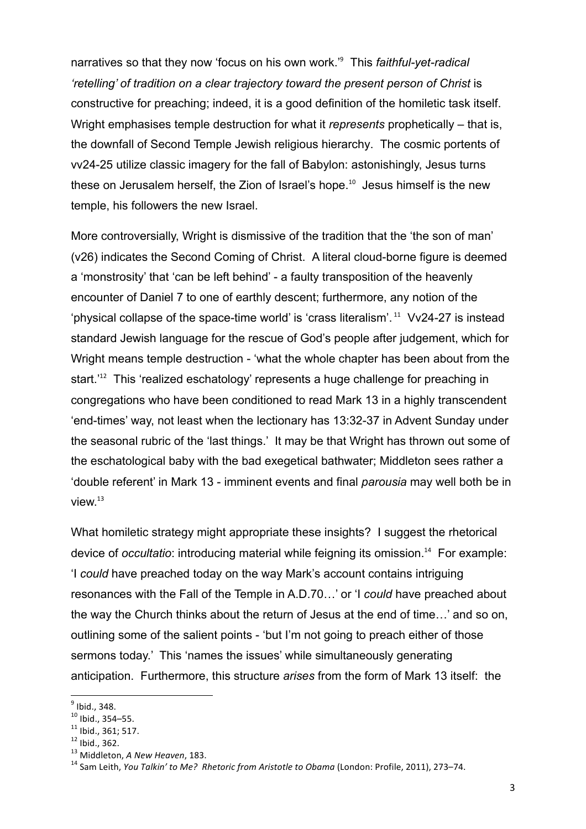narratives so that they now 'focus on his own work.'<sup>9</sup> This *faithful-yet-radical 'retelling' of tradition on a clear trajectory toward the present person of Christ* is constructive for preaching; indeed, it is a good definition of the homiletic task itself. Wright emphasises temple destruction for what it *represents* prophetically – that is, the downfall of Second Temple Jewish religious hierarchy. The cosmic portents of vv24-25 utilize classic imagery for the fall of Babylon: astonishingly, Jesus turns these on Jerusalem herself, the Zion of Israel's hope.<sup>10</sup> Jesus himself is the new temple, his followers the new Israel.

More controversially, Wright is dismissive of the tradition that the 'the son of man' (v26) indicates the Second Coming of Christ. A literal cloud-borne figure is deemed a 'monstrosity' that 'can be left behind' - a faulty transposition of the heavenly encounter of Daniel 7 to one of earthly descent; furthermore, any notion of the 'physical collapse of the space-time world' is 'crass literalism'.<sup>11</sup> Vv24-27 is instead standard Jewish language for the rescue of God's people after judgement, which for Wright means temple destruction - 'what the whole chapter has been about from the start.<sup>'12</sup> This 'realized eschatology' represents a huge challenge for preaching in congregations who have been conditioned to read Mark 13 in a highly transcendent 'end-times' way, not least when the lectionary has 13:32-37 in Advent Sunday under the seasonal rubric of the 'last things.' It may be that Wright has thrown out some of the eschatological baby with the bad exegetical bathwater; Middleton sees rather a 'double referent' in Mark 13 - imminent events and final *parousia* may well both be in view.<sup>13</sup>

What homiletic strategy might appropriate these insights? I suggest the rhetorical device of *occultatio*: introducing material while feigning its omission.<sup>14</sup> For example: 'I *could* have preached today on the way Mark's account contains intriguing resonances with the Fall of the Temple in A.D.70…' or 'I *could* have preached about the way the Church thinks about the return of Jesus at the end of time…' and so on, outlining some of the salient points - 'but I'm not going to preach either of those sermons today.' This 'names the issues' while simultaneously generating anticipation. Furthermore, this structure *arises* from the form of Mark 13 itself: the

 $<sup>9</sup>$  Ibid., 348.<br><sup>10</sup> Ibid., 354–55.</sup>

<sup>&</sup>lt;sup>11</sup> Ibid., 361; 517.<br><sup>12</sup> Ibid., 362.<br><sup>13</sup> Middleton, *A New Heaven*, 183.<br><sup>14</sup> Sam Leith, *You Talkin' to Me? Rhetoric from Aristotle to Obama* (London: Profile, 2011), 273–74.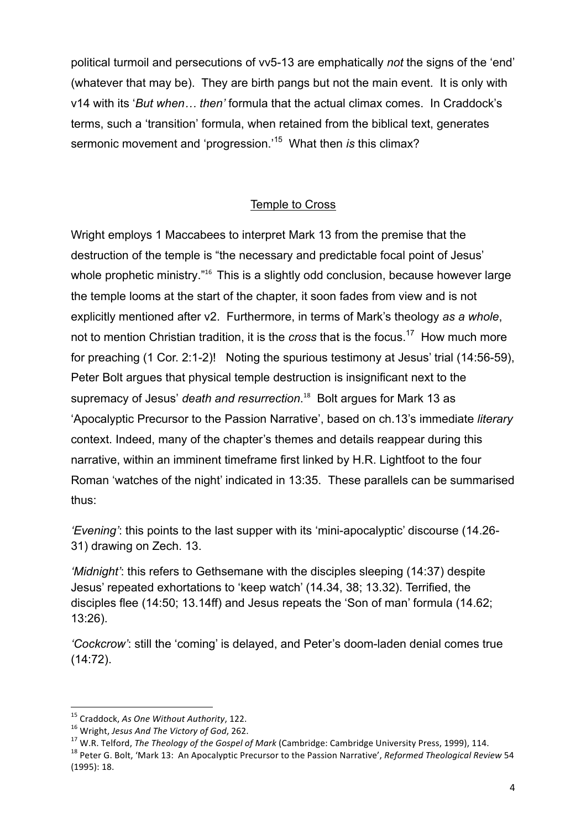political turmoil and persecutions of vv5-13 are emphatically *not* the signs of the 'end' (whatever that may be). They are birth pangs but not the main event. It is only with v14 with its '*But when… then'* formula that the actual climax comes. In Craddock's terms, such a 'transition' formula, when retained from the biblical text, generates sermonic movement and 'progression.'15 What then *is* this climax?

## Temple to Cross

Wright employs 1 Maccabees to interpret Mark 13 from the premise that the destruction of the temple is "the necessary and predictable focal point of Jesus' whole prophetic ministry."<sup>16</sup> This is a slightly odd conclusion, because however large the temple looms at the start of the chapter, it soon fades from view and is not explicitly mentioned after v2. Furthermore, in terms of Mark's theology *as a whole*, not to mention Christian tradition, it is the *cross* that is the focus. 17 How much more for preaching (1 Cor. 2:1-2)! Noting the spurious testimony at Jesus' trial (14:56-59), Peter Bolt argues that physical temple destruction is insignificant next to the supremacy of Jesus' *death and resurrection*. <sup>18</sup> Bolt argues for Mark 13 as 'Apocalyptic Precursor to the Passion Narrative', based on ch.13's immediate *literary* context. Indeed, many of the chapter's themes and details reappear during this narrative, within an imminent timeframe first linked by H.R. Lightfoot to the four Roman 'watches of the night' indicated in 13:35. These parallels can be summarised thus:

*'Evening'*: this points to the last supper with its 'mini-apocalyptic' discourse (14.26- 31) drawing on Zech. 13.

*'Midnight'*: this refers to Gethsemane with the disciples sleeping (14:37) despite Jesus' repeated exhortations to 'keep watch' (14.34, 38; 13.32). Terrified, the disciples flee (14:50; 13.14ff) and Jesus repeats the 'Son of man' formula (14.62; 13:26).

*'Cockcrow'*: still the 'coming' is delayed, and Peter's doom-laden denial comes true (14:72).

<sup>&</sup>lt;sup>15</sup> Craddock, As One Without Authority, 122.

<sup>&</sup>lt;sup>16</sup> Wright, Jesus And The Victory of God, 262.<br><sup>17</sup> W.R. Telford, *The Theology of the Gospel of Mark* (Cambridge: Cambridge University Press, 1999), 114.<br><sup>18</sup> Peter G. Bolt, 'Mark 13: An Apocalyptic Precursor to the Pass (1995): 18.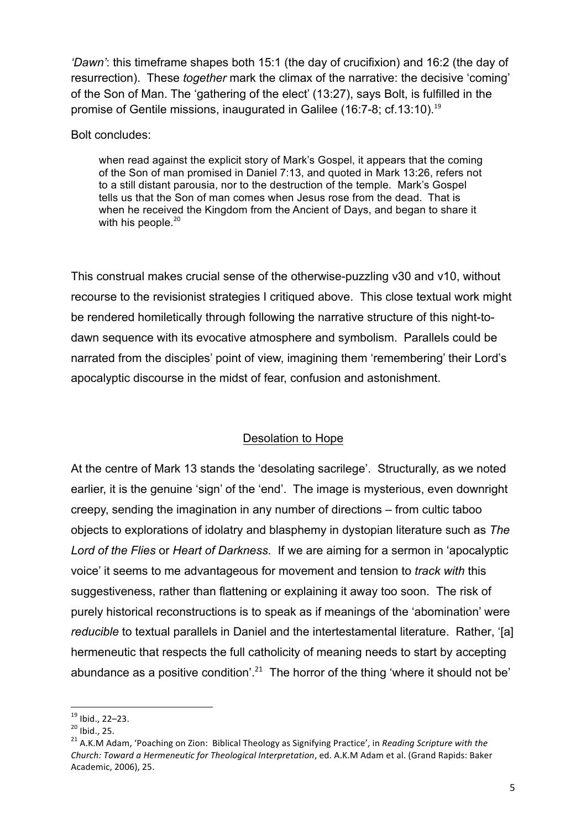*'Dawn'*: this timeframe shapes both 15:1 (the day of crucifixion) and 16:2 (the day of resurrection). These *together* mark the climax of the narrative: the decisive 'coming' of the Son of Man. The 'gathering of the elect' (13:27), says Bolt, is fulfilled in the promise of Gentile missions, inaugurated in Galilee (16:7-8; cf.13:10).<sup>19</sup>

Bolt concludes:

when read against the explicit story of Mark's Gospel, it appears that the coming of the Son of man promised in Daniel 7:13, and quoted in Mark 13:26, refers not to a still distant parousia, nor to the destruction of the temple. Mark's Gospel tells us that the Son of man comes when Jesus rose from the dead. That is when he received the Kingdom from the Ancient of Days, and began to share it with his people.<sup>20</sup>

This construal makes crucial sense of the otherwise-puzzling v30 and v10, without recourse to the revisionist strategies I critiqued above. This close textual work might be rendered homiletically through following the narrative structure of this night-todawn sequence with its evocative atmosphere and symbolism. Parallels could be narrated from the disciples' point of view, imagining them 'remembering' their Lord's apocalyptic discourse in the midst of fear, confusion and astonishment.

### Desolation to Hope

At the centre of Mark 13 stands the 'desolating sacrilege'. Structurally, as we noted earlier, it is the genuine 'sign' of the 'end'. The image is mysterious, even downright creepy, sending the imagination in any number of directions – from cultic taboo objects to explorations of idolatry and blasphemy in dystopian literature such as *The Lord of the Flies* or *Heart of Darkness*. If we are aiming for a sermon in 'apocalyptic voice' it seems to me advantageous for movement and tension to *track with* this suggestiveness, rather than flattening or explaining it away too soon. The risk of purely historical reconstructions is to speak as if meanings of the 'abomination' were *reducible* to textual parallels in Daniel and the intertestamental literature. Rather, '[a] hermeneutic that respects the full catholicity of meaning needs to start by accepting abundance as a positive condition'.<sup>21</sup> The horror of the thing 'where it should not be'

<u> 1989 - Johann Barn, mars ann an t-Amhain an t-Amhain an t-Amhain an t-Amhain an t-Amhain an t-Amhain an t-Amh</u>

<sup>&</sup>lt;sup>19</sup> Ibid., 22–23.<br><sup>20</sup> Ibid., 25.<br><sup>21</sup> A.K.M Adam, 'Poaching on Zion: Biblical Theology as Signifying Practice', in *Reading Scripture with the Church: Toward a Hermeneutic for Theological Interpretation*, ed. A.K.M Adam et al. (Grand Rapids: Baker Academic, 2006), 25.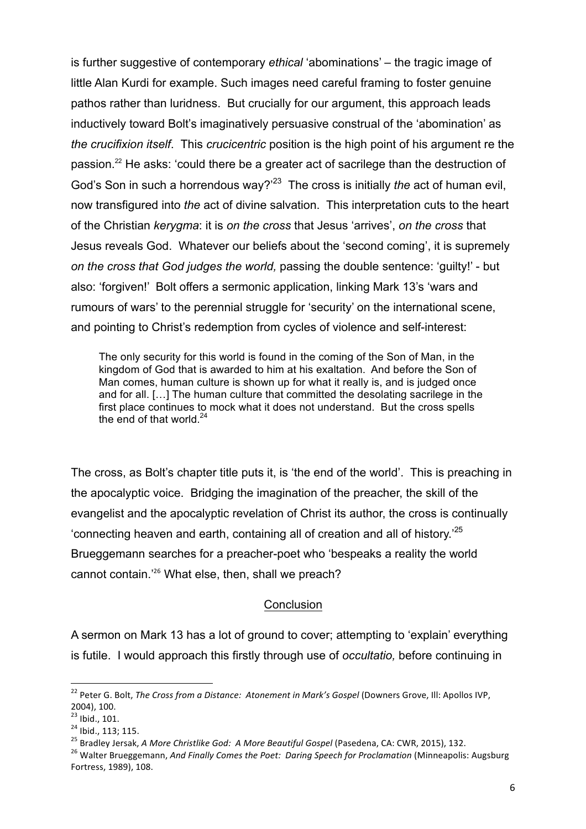is further suggestive of contemporary *ethical* 'abominations' – the tragic image of little Alan Kurdi for example. Such images need careful framing to foster genuine pathos rather than luridness. But crucially for our argument, this approach leads inductively toward Bolt's imaginatively persuasive construal of the 'abomination' as *the crucifixion itself*. This *crucicentric* position is the high point of his argument re the passion.22 He asks: 'could there be a greater act of sacrilege than the destruction of God's Son in such a horrendous way?'23 The cross is initially *the* act of human evil, now transfigured into *the* act of divine salvation. This interpretation cuts to the heart of the Christian *kerygma*: it is *on the cross* that Jesus 'arrives', *on the cross* that Jesus reveals God. Whatever our beliefs about the 'second coming', it is supremely *on the cross that God judges the world,* passing the double sentence: 'guilty!' - but also: 'forgiven!' Bolt offers a sermonic application, linking Mark 13's 'wars and rumours of wars' to the perennial struggle for 'security' on the international scene, and pointing to Christ's redemption from cycles of violence and self-interest:

The only security for this world is found in the coming of the Son of Man, in the kingdom of God that is awarded to him at his exaltation. And before the Son of Man comes, human culture is shown up for what it really is, and is judged once and for all. […] The human culture that committed the desolating sacrilege in the first place continues to mock what it does not understand. But the cross spells the end of that world. $24$ 

The cross, as Bolt's chapter title puts it, is 'the end of the world'. This is preaching in the apocalyptic voice. Bridging the imagination of the preacher, the skill of the evangelist and the apocalyptic revelation of Christ its author, the cross is continually 'connecting heaven and earth, containing all of creation and all of history.'25 Brueggemann searches for a preacher-poet who 'bespeaks a reality the world cannot contain.'<sup>26</sup> What else, then, shall we preach?

### **Conclusion**

A sermon on Mark 13 has a lot of ground to cover; attempting to 'explain' everything is futile. I would approach this firstly through use of *occultatio,* before continuing in

 

<sup>&</sup>lt;sup>22</sup> Peter G. Bolt, *The Cross from a Distance: Atonement in Mark's Gospel* (Downers Grove, Ill: Apollos IVP, 2004), 100.<br><sup>23</sup> Ibid., 101.

<sup>&</sup>lt;sup>24</sup> Ibid., 113; 115.<br><sup>25</sup> Bradley Jersak, *A More Christlike God: A More Beautiful Gospel* (Pasedena, CA: CWR, 2015), 132.<br><sup>25</sup> Walter Brueggemann, *And Finally Comes the Poet: Daring Speech for Proclamation* (Minneapolis Fortress, 1989), 108.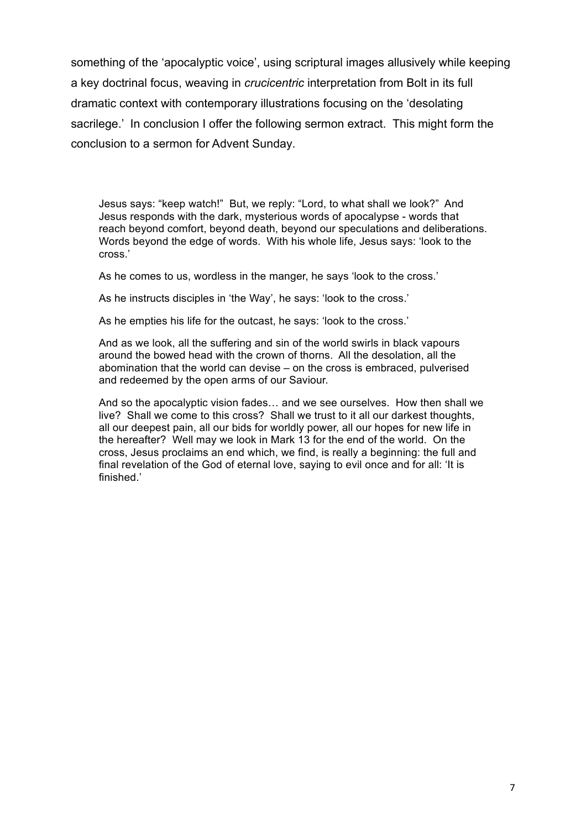something of the 'apocalyptic voice', using scriptural images allusively while keeping a key doctrinal focus, weaving in *crucicentric* interpretation from Bolt in its full dramatic context with contemporary illustrations focusing on the 'desolating sacrilege.' In conclusion I offer the following sermon extract. This might form the conclusion to a sermon for Advent Sunday.

Jesus says: "keep watch!" But, we reply: "Lord, to what shall we look?" And Jesus responds with the dark, mysterious words of apocalypse - words that reach beyond comfort, beyond death, beyond our speculations and deliberations. Words beyond the edge of words. With his whole life, Jesus says: 'look to the cross.'

As he comes to us, wordless in the manger, he says 'look to the cross.'

As he instructs disciples in 'the Way', he says: 'look to the cross.'

As he empties his life for the outcast, he says: 'look to the cross.'

And as we look, all the suffering and sin of the world swirls in black vapours around the bowed head with the crown of thorns. All the desolation, all the abomination that the world can devise – on the cross is embraced, pulverised and redeemed by the open arms of our Saviour.

And so the apocalyptic vision fades… and we see ourselves. How then shall we live? Shall we come to this cross? Shall we trust to it all our darkest thoughts, all our deepest pain, all our bids for worldly power, all our hopes for new life in the hereafter? Well may we look in Mark 13 for the end of the world. On the cross, Jesus proclaims an end which, we find, is really a beginning: the full and final revelation of the God of eternal love, saying to evil once and for all: 'It is finished.'